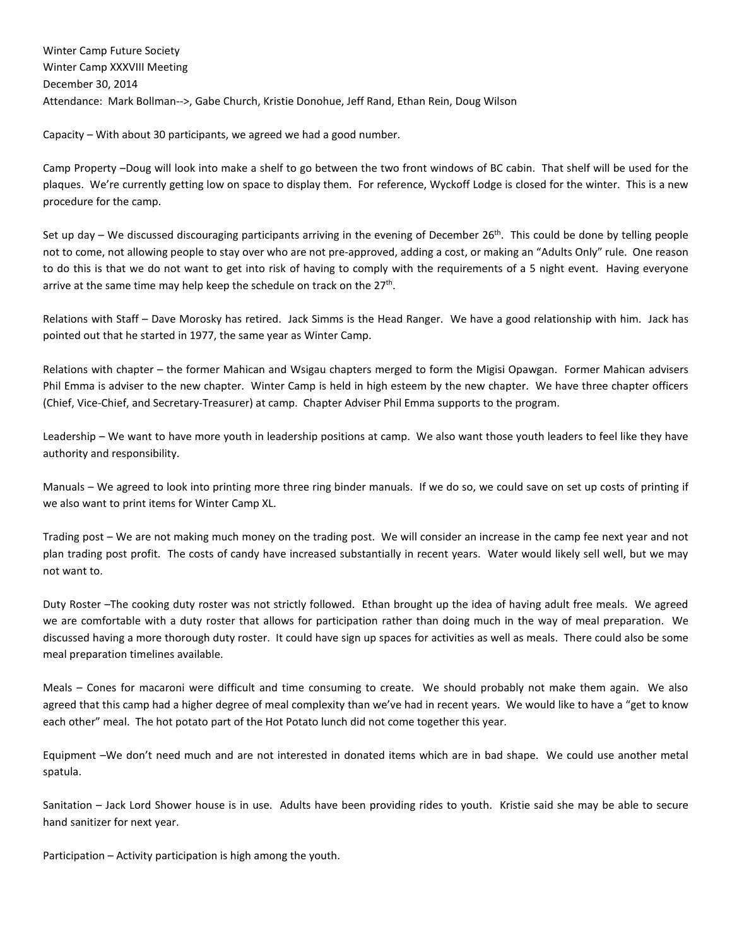Winter Camp Future Society Winter Camp XXXVIII Meeting December 30, 2014 Attendance: Mark Bollman-->, Gabe Church, Kristie Donohue, Jeff Rand, Ethan Rein, Doug Wilson

Capacity – With about 30 participants, we agreed we had a good number.

Camp Property –Doug will look into make a shelf to go between the two front windows of BC cabin. That shelf will be used for the plaques. We're currently getting low on space to display them. For reference, Wyckoff Lodge is closed for the winter. This is a new procedure for the camp.

Set up day – We discussed discouraging participants arriving in the evening of December 26<sup>th</sup>. This could be done by telling people not to come, not allowing people to stay over who are not pre-approved, adding a cost, or making an "Adults Only" rule. One reason to do this is that we do not want to get into risk of having to comply with the requirements of a 5 night event. Having everyone arrive at the same time may help keep the schedule on track on the 27<sup>th</sup>.

Relations with Staff – Dave Morosky has retired. Jack Simms is the Head Ranger. We have a good relationship with him. Jack has pointed out that he started in 1977, the same year as Winter Camp.

Relations with chapter – the former Mahican and Wsigau chapters merged to form the Migisi Opawgan. Former Mahican advisers Phil Emma is adviser to the new chapter. Winter Camp is held in high esteem by the new chapter. We have three chapter officers (Chief, Vice-Chief, and Secretary-Treasurer) at camp. Chapter Adviser Phil Emma supports to the program.

Leadership – We want to have more youth in leadership positions at camp. We also want those youth leaders to feel like they have authority and responsibility.

Manuals – We agreed to look into printing more three ring binder manuals. If we do so, we could save on set up costs of printing if we also want to print items for Winter Camp XL.

Trading post – We are not making much money on the trading post. We will consider an increase in the camp fee next year and not plan trading post profit. The costs of candy have increased substantially in recent years. Water would likely sell well, but we may not want to.

Duty Roster –The cooking duty roster was not strictly followed. Ethan brought up the idea of having adult free meals. We agreed we are comfortable with a duty roster that allows for participation rather than doing much in the way of meal preparation. We discussed having a more thorough duty roster. It could have sign up spaces for activities as well as meals. There could also be some meal preparation timelines available.

Meals – Cones for macaroni were difficult and time consuming to create. We should probably not make them again. We also agreed that this camp had a higher degree of meal complexity than we've had in recent years. We would like to have a "get to know each other" meal. The hot potato part of the Hot Potato lunch did not come together this year.

Equipment –We don't need much and are not interested in donated items which are in bad shape. We could use another metal spatula.

Sanitation – Jack Lord Shower house is in use. Adults have been providing rides to youth. Kristie said she may be able to secure hand sanitizer for next year.

Participation – Activity participation is high among the youth.